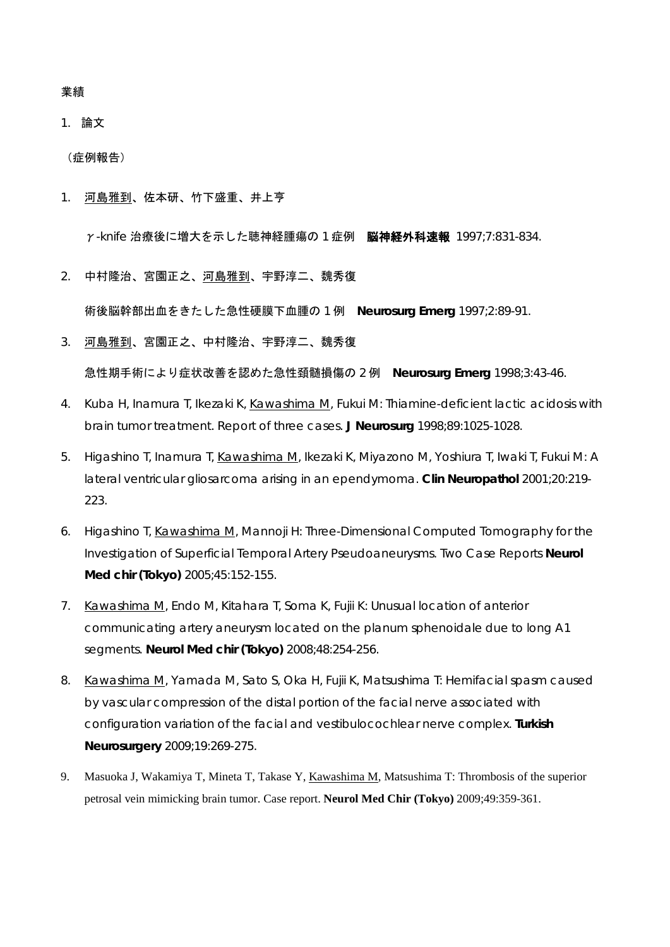#### 業績

### 1. 論文

(症例報告)

1. 河島雅到、佐本研、竹下盛重、井上亨

γ-knife 治療後に増大を示した聴神経腫瘍の1症例 脳神経外科速報 1997;7:831-834.

2. 中村隆治、宮園正之、河島雅到、宇野淳二、魏秀復

術後脳幹部出血をきたした急性硬膜下血腫の 1 例 **Neurosurg Emerg** 1997;2:89-91.

3. 河島雅到、宮園正之、中村隆治、宇野淳二、魏秀復

急性期手術により症状改善を認めた急性頚髄損傷の 2 例 **Neurosurg Emerg** 1998;3:43-46.

- 4. Kuba H, Inamura T, Ikezaki K, Kawashima M, Fukui M: Thiamine-deficient lactic acidosis with brain tumor treatment. Report of three cases. **J Neurosurg** 1998;89:1025-1028.
- 5. Higashino T, Inamura T, Kawashima M, Ikezaki K, Miyazono M, Yoshiura T, Iwaki T, Fukui M: A lateral ventricular gliosarcoma arising in an ependymoma. **Clin Neuropathol** 2001;20:219- 223.
- 6. Higashino T, Kawashima M, Mannoji H: Three-Dimensional Computed Tomography for the Investigation of Superficial Temporal Artery Pseudoaneurysms. Two Case Reports **Neurol Med chir (Tokyo)** 2005;45:152-155.
- 7. Kawashima M, Endo M, Kitahara T, Soma K, Fujii K: Unusual location of anterior communicating artery aneurysm located on the planum sphenoidale due to long A1 segments. **Neurol Med chir (Tokyo)** 2008;48:254-256.
- 8. Kawashima M, Yamada M, Sato S, Oka H, Fujii K, Matsushima T: Hemifacial spasm caused by vascular compression of the distal portion of the facial nerve associated with configuration variation of the facial and vestibulocochlear nerve complex. **Turkish Neurosurgery** 2009;19:269-275.
- 9. Masuoka J, Wakamiya T, Mineta T, Takase Y, Kawashima M, Matsushima T: Thrombosis of the superior petrosal vein mimicking brain tumor. Case report. **Neurol Med Chir (Tokyo)** 2009;49:359-361.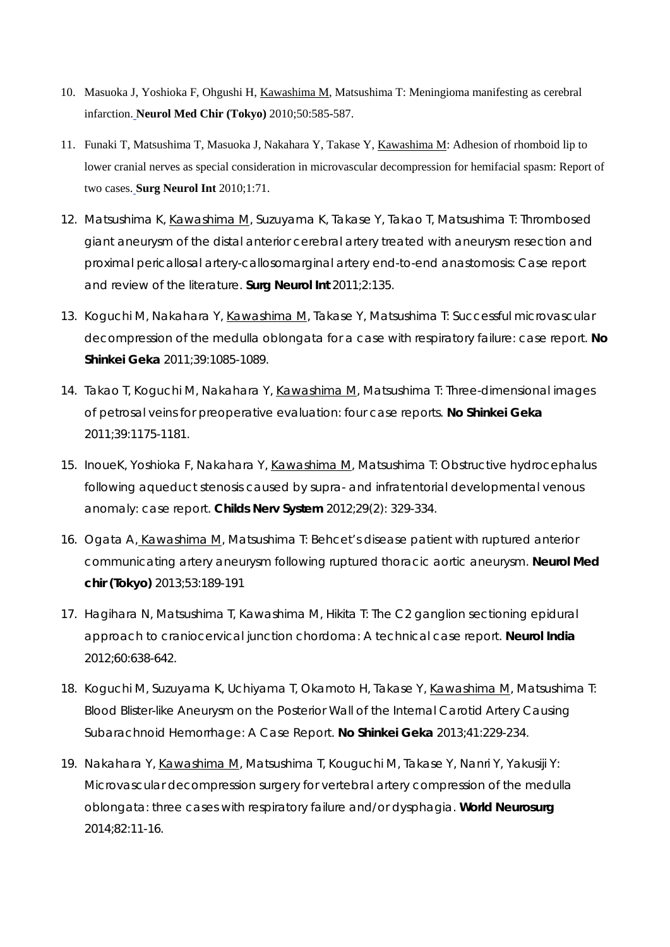- 10. Masuoka J, Yoshioka F, Ohgushi H, Kawashima M, Matsushima T: Meningioma manifesting as cerebral infarction. **Neurol Med Chir (Tokyo)** 2010;50:585-587.
- 11. Funaki T, Matsushima T, Masuoka J, Nakahara Y, Takase Y, Kawashima M: Adhesion of rhomboid lip to lower cranial nerves as special consideration in microvascular decompression for hemifacial spasm: Report of two cases. **Surg Neurol Int** 2010;1:71.
- 12. Matsushima K, Kawashima M, Suzuyama K, Takase Y, Takao T, Matsushima T: Thrombosed giant aneurysm of the distal anterior cerebral artery treated with aneurysm resection and proximal pericallosal artery-callosomarginal artery end-to-end anastomosis: Case report and review of the literature. **Surg Neurol Int** 2011;2:135.
- 13. Koguchi M, Nakahara Y, Kawashima M, Takase Y, Matsushima T: Successful microvascular decompression of the medulla oblongata for a case with respiratory failure: case report. **No Shinkei Geka** 2011;39:1085-1089.
- 14. Takao T, Koguchi M, Nakahara Y, Kawashima M, Matsushima T: Three-dimensional images of petrosal veins for preoperative evaluation: four case reports. **No Shinkei Geka** 2011;39:1175-1181.
- 15. InoueK, Yoshioka F, Nakahara Y, Kawashima M, Matsushima T: Obstructive hydrocephalus following aqueduct stenosis caused by supra- and infratentorial developmental venous anomaly: case report. **Childs Nerv System** 2012;29(2): 329-334.
- 16. Ogata A, Kawashima M, Matsushima T: Behcet's disease patient with ruptured anterior communicating artery aneurysm following ruptured thoracic aortic aneurysm. **Neurol Med chir (Tokyo)** 2013;53:189-191
- 17. Hagihara N, Matsushima T, Kawashima M, Hikita T: The C2 ganglion sectioning epidural approach to craniocervical junction chordoma: A technical case report. **Neurol India**  2012;60:638-642.
- 18. Koguchi M, Suzuyama K, Uchiyama T, Okamoto H, Takase Y, Kawashima M, Matsushima T: Blood Blister-like Aneurysm on the Posterior Wall of the Internal Carotid Artery Causing Subarachnoid Hemorrhage: A Case Report. **No Shinkei Geka** 2013;41:229-234.
- 19. Nakahara Y, Kawashima M, Matsushima T, Kouguchi M, Takase Y, Nanri Y, Yakusiji Y: Microvascular decompression surgery for vertebral artery compression of the medulla oblongata: three cases with respiratory failure and/or dysphagia. **World Neurosurg** 2014;82:11-16.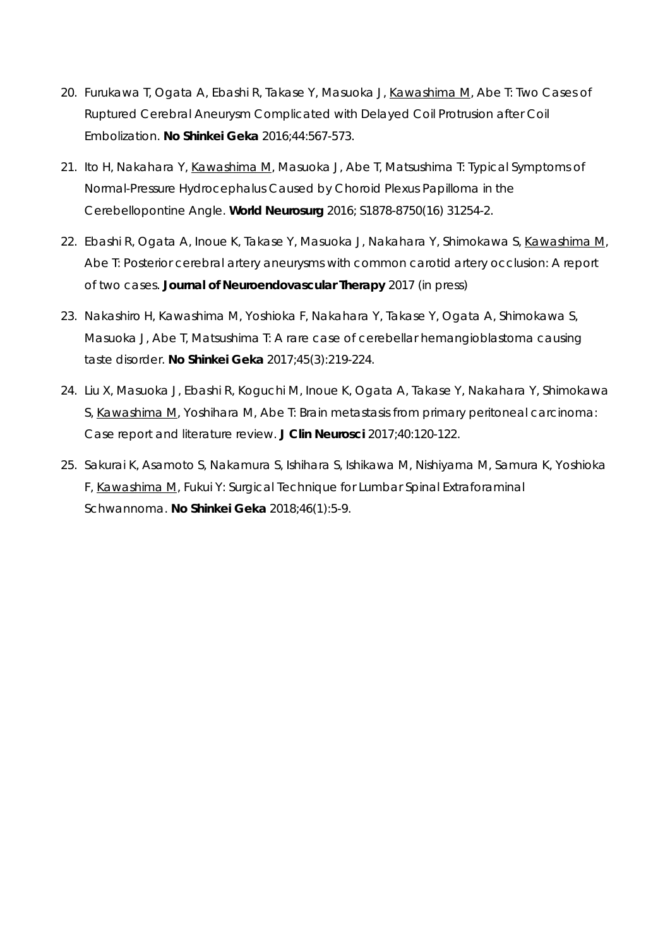- 20. Furukawa T, Ogata A, Ebashi R, Takase Y, Masuoka J, Kawashima M, Abe T: Two Cases of Ruptured Cerebral Aneurysm Complicated with Delayed Coil Protrusion after Coil Embolization. **No Shinkei Geka** 2016;44:567-573.
- 21. Ito H, Nakahara Y, Kawashima M, Masuoka J, Abe T, Matsushima T: Typical Symptoms of Normal-Pressure Hydrocephalus Caused by Choroid Plexus Papilloma in the Cerebellopontine Angle. **World Neurosurg** 2016; S1878-8750(16) 31254-2.
- 22. Ebashi R, Ogata A, Inoue K, Takase Y, Masuoka J, Nakahara Y, Shimokawa S, Kawashima M, Abe T: Posterior cerebral artery aneurysms with common carotid artery occlusion: A report of two cases. **Journal of Neuroendovascular Therapy** 2017 (in press)
- 23. Nakashiro H, Kawashima M, Yoshioka F, Nakahara Y, Takase Y, Ogata A, Shimokawa S, Masuoka J, Abe T, Matsushima T: A rare case of cerebellar hemangioblastoma causing taste disorder. **No Shinkei Geka** 2017;45(3):219-224.
- 24. Liu X, Masuoka J, Ebashi R, Koguchi M, Inoue K, Ogata A, Takase Y, Nakahara Y, Shimokawa S, Kawashima M, Yoshihara M, Abe T: Brain metastasis from primary peritoneal carcinoma: Case report and literature review. **J Clin Neurosci** 2017;40:120-122.
- 25. Sakurai K, Asamoto S, Nakamura S, Ishihara S, Ishikawa M, Nishiyama M, Samura K, Yoshioka F, Kawashima M, Fukui Y: Surgical Technique for Lumbar Spinal Extraforaminal Schwannoma. **No Shinkei Geka** 2018;46(1):5-9.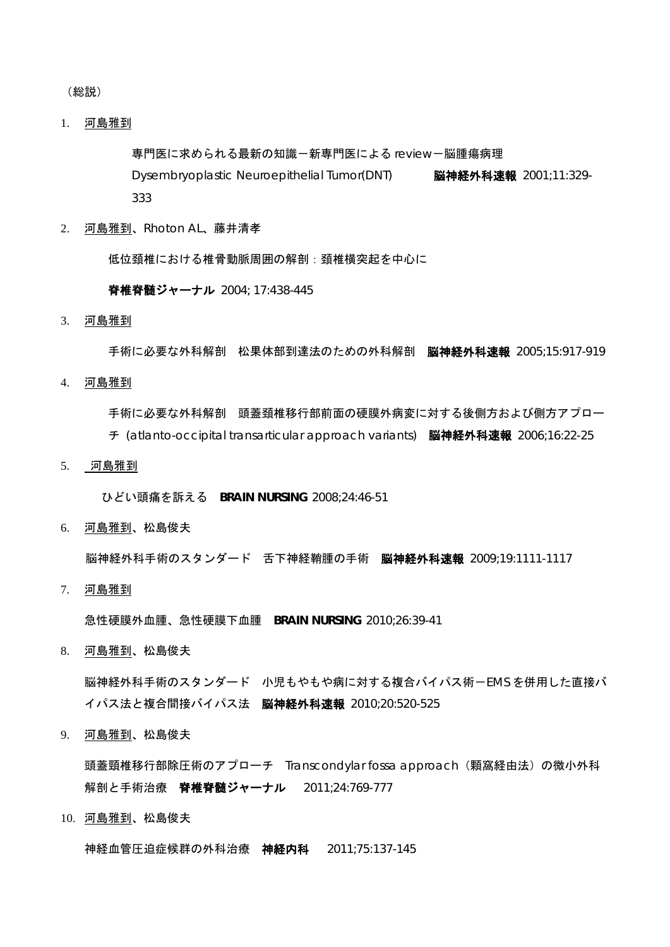(総説)

1. 河島雅到

専門医に求められる最新の知識-新専門医による review-脳腫瘍病理

Dysembryoplastic Neuroepithelial Tumor(DNT) **脳神経外科速報** 2001;11:329-333

2. 河島雅到、Rhoton AL、藤井清孝

低位頚椎における椎骨動脈周囲の解剖:頚椎横突起を中心に

脊椎脊髄ジャーナル 2004; 17:438-445

3. 河島雅到

手術に必要な外科解剖 松果体部到達法のための外科解剖 脳神経外科速報 2005:15:917-919

4. 河島雅到

手術に必要な外科解剖 頭蓋頚椎移行部前面の硬膜外病変に対する後側方および側方アプロー

- チ (atlanto-occipital transarticular approach variants) 脳神経外科速報 2006;16:22-25
- 5. 河島雅到

ひどい頭痛を訴える **BRAIN NURSING** 2008;24:46-51

6. 河島雅到、松島俊夫

脳神経外科手術のスタンダード 舌下神経鞘腫の手術 脳神経外科速報 2009;19:1111-1117

7. 河島雅到

急性硬膜外血腫、急性硬膜下血腫 **BRAIN NURSING** 2010;26:39-41

8. 河島雅到、松島俊夫

脳神経外科手術のスタンダード 小児もやもや病に対する複合バイパス術-EMS を併用した直接バ イパス法と複合間接バイパス法 脳神経外科速報 2010;20:520-525

9. 河島雅到、松島俊夫

頭蓋頸椎移行部除圧術のアプローチ Transcondylar fossa approach (顆窩経由法) の微小外科 解剖と手術治療 脊椎脊髄ジャーナル 2011;24:769-777

10. 河島雅到、松島俊夫

神経血管圧迫症候群の外科治療 神経内科 2011;75:137-145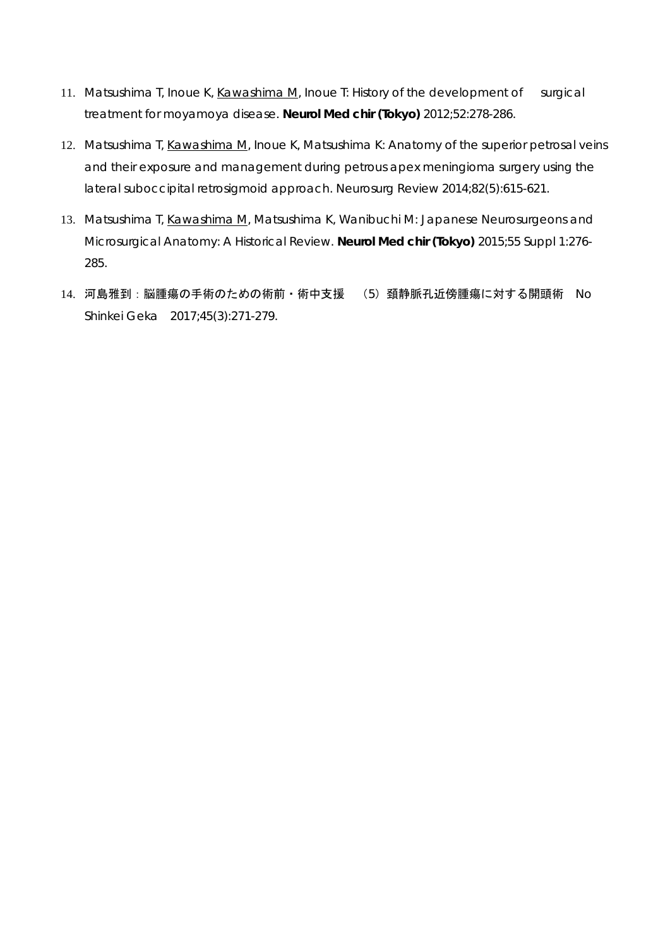- 11. Matsushima T, Inoue K, Kawashima M, Inoue T: History of the development of surgical treatment for moyamoya disease. **Neurol Med chir (Tokyo)** 2012;52:278-286.
- 12. Matsushima T, Kawashima M, Inoue K, Matsushima K: Anatomy of the superior petrosal veins and their exposure and management during petrous apex meningioma surgery using the lateral suboccipital retrosigmoid approach. Neurosurg Review 2014;82(5):615-621.
- 13. Matsushima T, Kawashima M, Matsushima K, Wanibuchi M: Japanese Neurosurgeons and Microsurgical Anatomy: A Historical Review. **Neurol Med chir (Tokyo)** 2015;55 Suppl 1:276- 285.
- 14. 河島雅到:脳腫瘍の手術のための術前・術中支援 (5)頚静脈孔近傍腫瘍に対する開頭術 No Shinkei Geka 2017;45(3):271-279.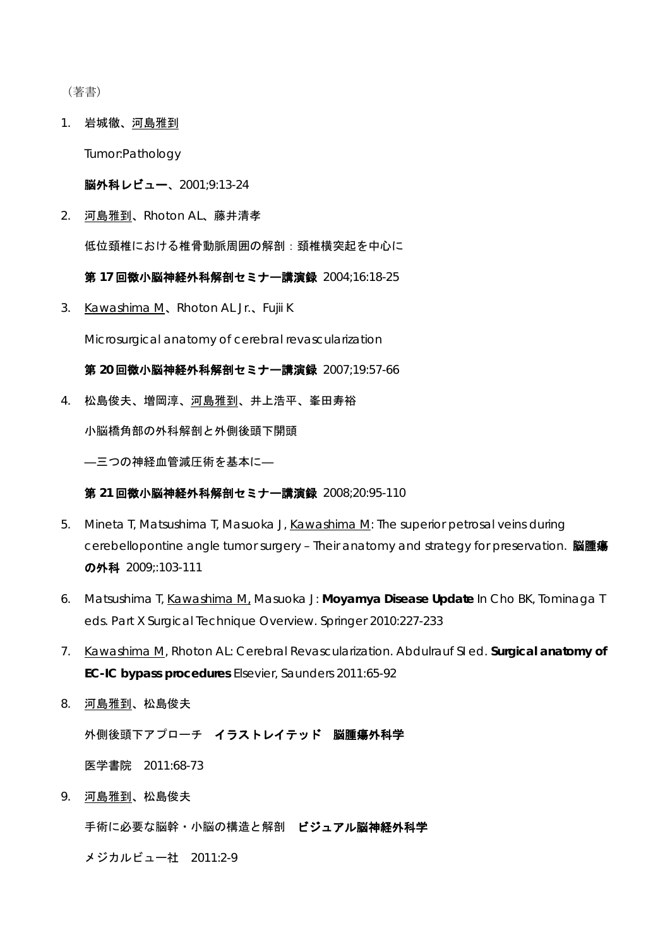(著書)

1. 岩城徹、河島雅到

Tumor:Pathology

脳外科レビュー、2001;9:13-24

2. 河島雅到、Rhoton AL、藤井清孝

低位頚椎における椎骨動脈周囲の解剖:頚椎横突起を中心に

第 **17** 回微小脳神経外科解剖セミナー講演録 2004;16:18-25

3. Kawashima M、Rhoton AL Jr.、Fujii K

Microsurgical anatomy of cerebral revascularization

第 **20** 回微小脳神経外科解剖セミナー講演録 2007;19:57-66

4. 松島俊夫、増岡淳、河島雅到、井上浩平、峯田寿裕

小脳橋角部の外科解剖と外側後頭下開頭

―三つの神経血管減圧術を基本に―

第 **21** 回微小脳神経外科解剖セミナー講演録 2008;20:95-110

- 5. Mineta T, Matsushima T, Masuoka J, Kawashima M: The superior petrosal veins during cerebellopontine angle tumor surgery – Their anatomy and strategy for preservation. 脳腫瘍 の外科 2009;:103-111
- 6. Matsushima T, Kawashima M, Masuoka J: **Moyamya Disease Update** In Cho BK, Tominaga T eds. Part X Surgical Technique Overview. Springer 2010:227-233
- 7. Kawashima M, Rhoton AL: Cerebral Revascularization. Abdulrauf SI ed. **Surgical anatomy of EC-IC bypass procedures** Elsevier, Saunders 2011:65-92
- 8. 河島雅到、松島俊夫

外側後頭下アプローチ イラストレイテッド 脳腫瘍外科学

医学書院 2011:68-73

9. 河島雅到、松島俊夫

手術に必要な脳幹・小脳の構造と解剖 ビジュアル脳神経外科学

メジカルビュー社 2011:2-9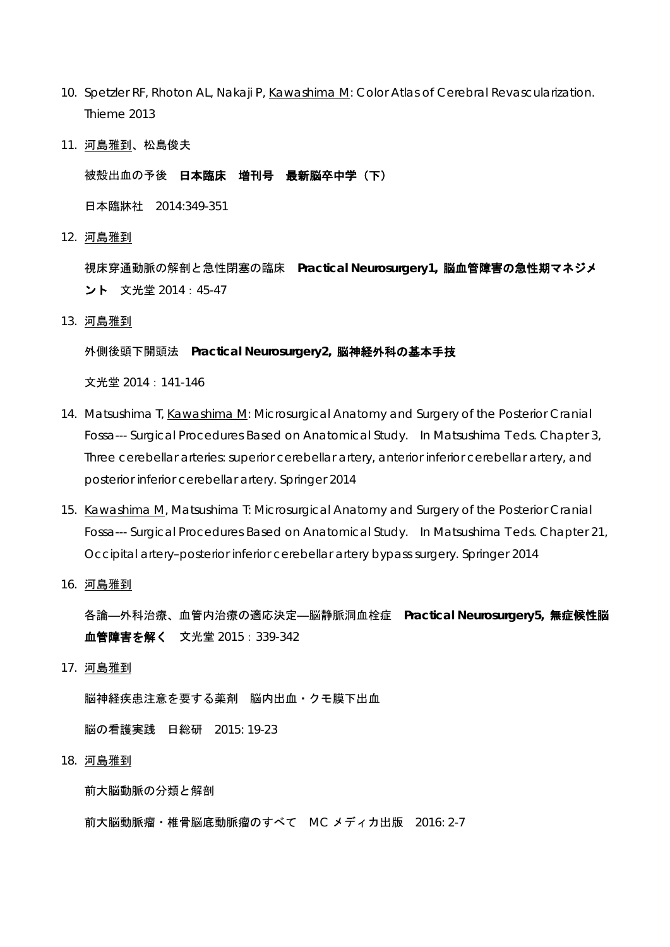- 10. Spetzler RF, Rhoton AL, Nakaji P, Kawashima M: Color Atlas of Cerebral Revascularization. Thieme 2013
- 11. 河島雅到、松島俊夫

被殻出血の予後 日本臨床 増刊号 最新脳卒中学(下)

日本臨牀社 2014:349-351

12. 河島雅到

視床穿通動脈の解剖と急性閉塞の臨床 **Practical Neurosurgery1,** 脳血管障害の急性期マネジメ ント 文光堂 2014:45-47

13. 河島雅到

#### 外側後頭下開頭法 **Practical Neurosurgery2,** 脳神経外科の基本手技

文光堂 2014:141-146

- 14. Matsushima T, Kawashima M: Microsurgical Anatomy and Surgery of the Posterior Cranial Fossa--- Surgical Procedures Based on Anatomical Study. In Matsushima T eds. Chapter 3, Three cerebellar arteries: superior cerebellar artery, anterior inferior cerebellar artery, and posterior inferior cerebellar artery. Springer 2014
- 15. Kawashima M, Matsushima T: Microsurgical Anatomy and Surgery of the Posterior Cranial Fossa--- Surgical Procedures Based on Anatomical Study. In Matsushima T eds. Chapter 21, Occipital artery–posterior inferior cerebellar artery bypass surgery. Springer 2014
- 16. 河島雅到

各論―外科治療、血管内治療の適応決定―脳静脈洞血栓症 **Practical Neurosurgery5,** 無症候性脳 血管障害を解く 文光堂 2015:339-342

17. 河島雅到

脳神経疾患注意を要する薬剤 脳内出血・クモ膜下出血

脳の看護実践 日総研 2015: 19-23

18. 河島雅到

前大脳動脈の分類と解剖

前大脳動脈瘤・椎骨脳底動脈瘤のすべて MC メディカ出版 2016: 2-7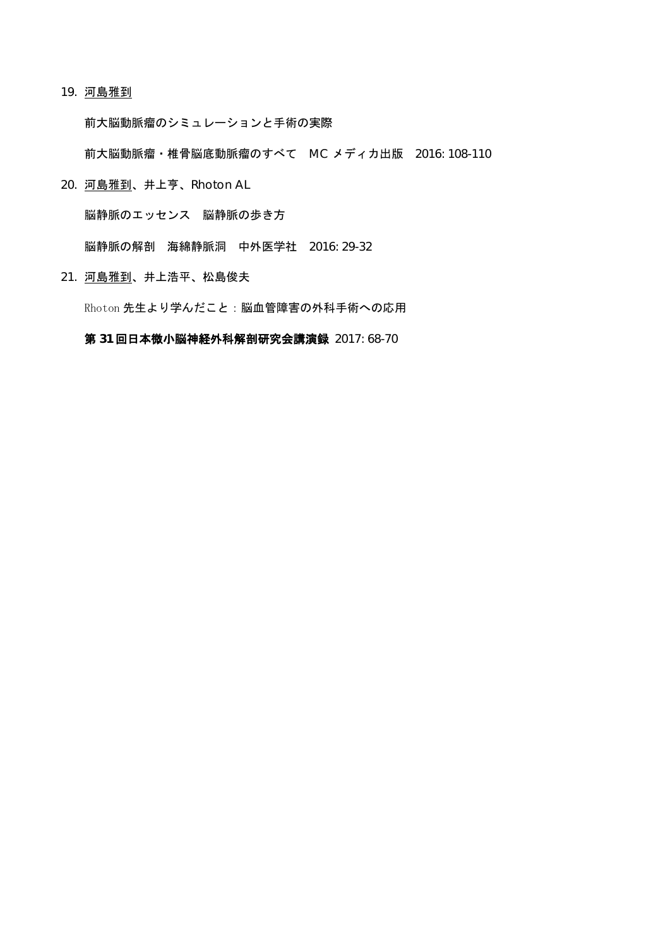#### 19. 河島雅到

前大脳動脈瘤のシミュレーションと手術の実際

前大脳動脈瘤・椎骨脳底動脈瘤のすべて MC メディカ出版 2016: 108-110

20. 河島雅到、井上亨、Rhoton AL

脳静脈のエッセンス 脳静脈の歩き方

脳静脈の解剖 海綿静脈洞 中外医学社 2016: 29-32

21. 河島雅到、井上浩平、松島俊夫

Rhoton 先生より学んだこと:脳血管障害の外科手術への応用

### 第 **31** 回日本微小脳神経外科解剖研究会講演録 2017: 68-70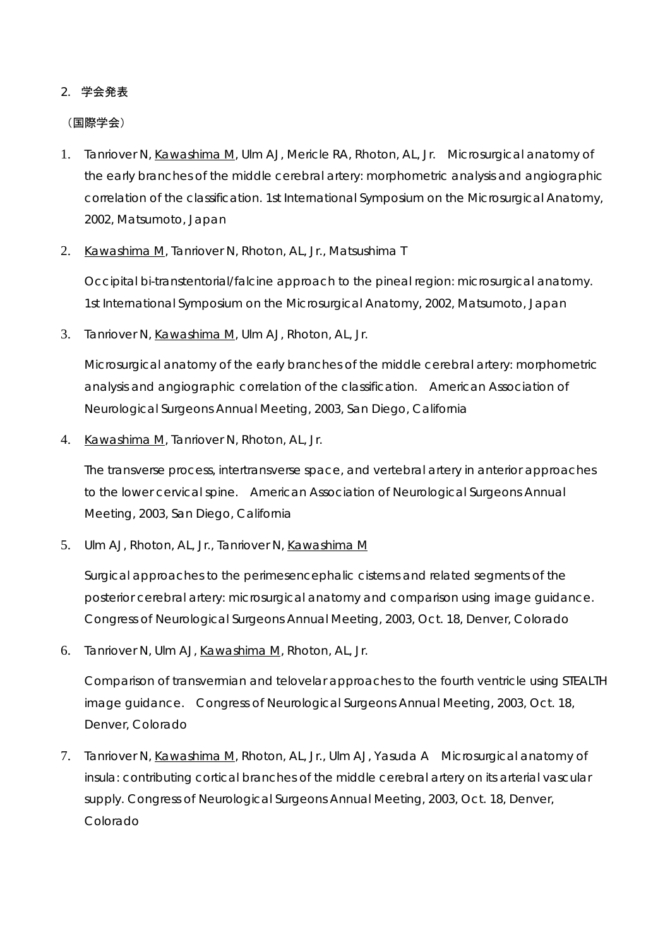# 2. 学会発表

### (国際学会)

- 1. Tanriover N, Kawashima M, Ulm AJ, Mericle RA, Rhoton, AL, Jr. Microsurgical anatomy of the early branches of the middle cerebral artery: morphometric analysis and angiographic correlation of the classification. 1st International Symposium on the Microsurgical Anatomy, 2002, Matsumoto, Japan
- 2. Kawashima M, Tanriover N, Rhoton, AL, Jr., Matsushima T

Occipital bi-transtentorial/falcine approach to the pineal region: microsurgical anatomy. 1st International Symposium on the Microsurgical Anatomy, 2002, Matsumoto, Japan

3. Tanriover N, Kawashima M, Ulm AJ, Rhoton, AL, Jr.

Microsurgical anatomy of the early branches of the middle cerebral artery: morphometric analysis and angiographic correlation of the classification. American Association of Neurological Surgeons Annual Meeting, 2003, San Diego, California

4. Kawashima M, Tanriover N, Rhoton, AL, Jr.

The transverse process, intertransverse space, and vertebral artery in anterior approaches to the lower cervical spine. American Association of Neurological Surgeons Annual Meeting, 2003, San Diego, California

5. Ulm AJ, Rhoton, AL, Jr., Tanriover N, Kawashima M

Surgical approaches to the perimesencephalic cisterns and related segments of the posterior cerebral artery: microsurgical anatomy and comparison using image guidance. Congress of Neurological Surgeons Annual Meeting, 2003, Oct. 18, Denver, Colorado

6. Tanriover N, Ulm AJ, Kawashima M, Rhoton, AL, Jr.

Comparison of transvermian and telovelar approaches to the fourth ventricle using STEALTH image guidance. Congress of Neurological Surgeons Annual Meeting, 2003, Oct. 18, Denver, Colorado

7. Tanriover N, Kawashima M, Rhoton, AL, Jr., Ulm AJ, Yasuda A Microsurgical anatomy of insula: contributing cortical branches of the middle cerebral artery on its arterial vascular supply. Congress of Neurological Surgeons Annual Meeting, 2003, Oct. 18, Denver, Colorado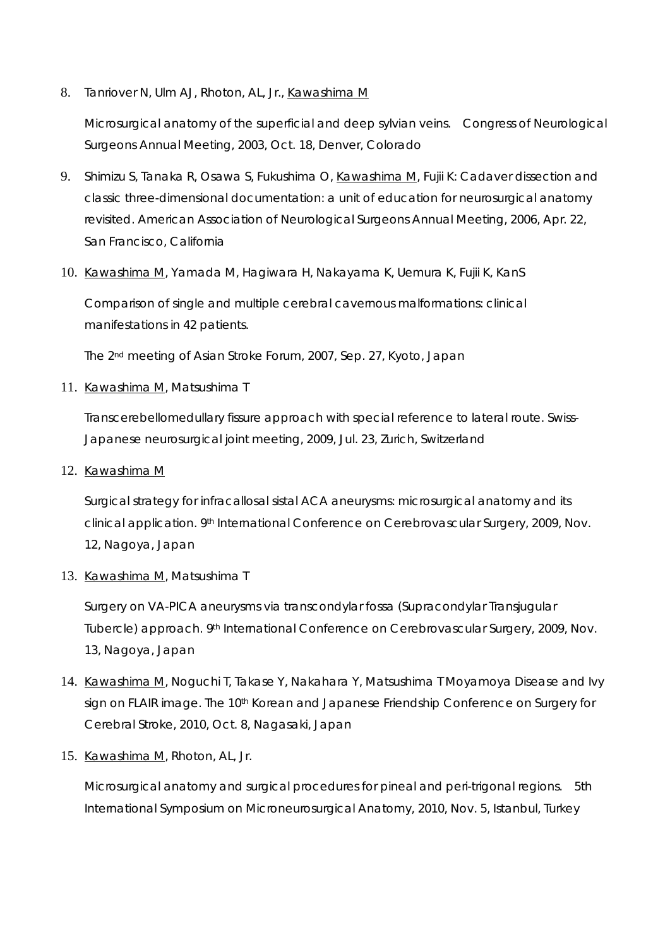8. Tanriover N, Ulm AJ, Rhoton, AL, Jr., Kawashima M

Microsurgical anatomy of the superficial and deep sylvian veins. Congress of Neurological Surgeons Annual Meeting, 2003, Oct. 18, Denver, Colorado

- 9. Shimizu S, Tanaka R, Osawa S, Fukushima O, Kawashima M, Fujii K: Cadaver dissection and classic three-dimensional documentation: a unit of education for neurosurgical anatomy revisited. American Association of Neurological Surgeons Annual Meeting, 2006, Apr. 22, San Francisco, California
- 10. Kawashima M, Yamada M, Hagiwara H, Nakayama K, Uemura K, Fujii K, KanS

Comparison of single and multiple cerebral cavernous malformations: clinical manifestations in 42 patients.

The 2nd meeting of Asian Stroke Forum, 2007, Sep. 27, Kyoto, Japan

11. Kawashima M, Matsushima T

Transcerebellomedullary fissure approach with special reference to lateral route. Swiss-Japanese neurosurgical joint meeting, 2009, Jul. 23, Zurich, Switzerland

12. Kawashima M

Surgical strategy for infracallosal sistal ACA aneurysms: microsurgical anatomy and its clinical application. 9th International Conference on Cerebrovascular Surgery, 2009, Nov. 12, Nagoya, Japan

13. Kawashima M, Matsushima T

Surgery on VA-PICA aneurysms via transcondylar fossa (Supracondylar Transjugular Tubercle) approach. 9th International Conference on Cerebrovascular Surgery, 2009, Nov. 13, Nagoya, Japan

- 14. Kawashima M, Noguchi T, Takase Y, Nakahara Y, Matsushima T Moyamoya Disease and Ivy sign on FLAIR image. The 10<sup>th</sup> Korean and Japanese Friendship Conference on Surgery for Cerebral Stroke, 2010, Oct. 8, Nagasaki, Japan
- 15. Kawashima M, Rhoton, AL, Jr.

Microsurgical anatomy and surgical procedures for pineal and peri-trigonal regions. 5th International Symposium on Microneurosurgical Anatomy, 2010, Nov. 5, Istanbul, Turkey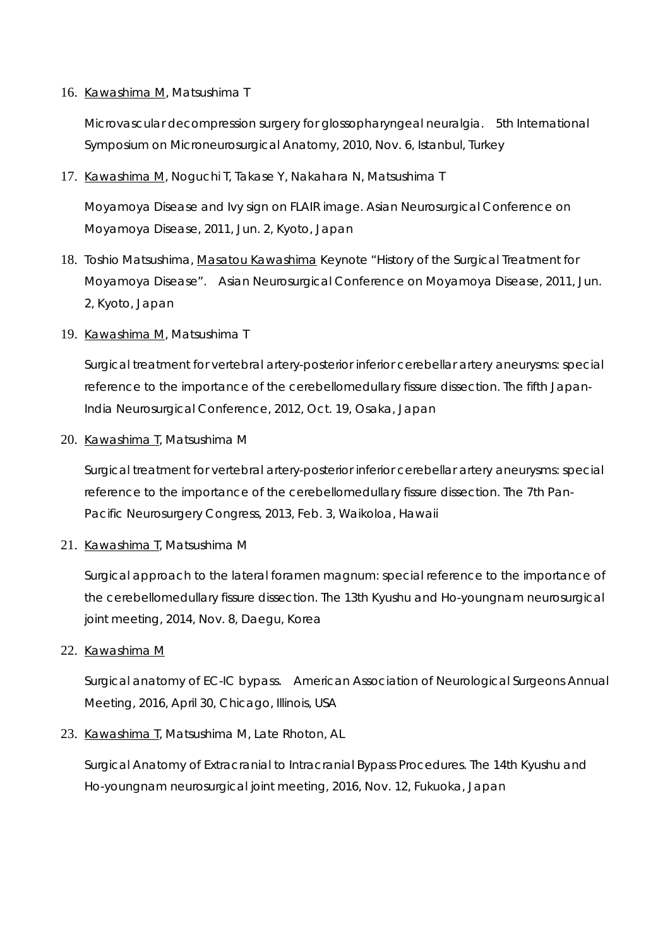## 16. Kawashima M, Matsushima T

Microvascular decompression surgery for glossopharyngeal neuralgia. 5th International Symposium on Microneurosurgical Anatomy, 2010, Nov. 6, Istanbul, Turkey

17. Kawashima M, Noguchi T, Takase Y, Nakahara N, Matsushima T

Moyamoya Disease and Ivy sign on FLAIR image. Asian Neurosurgical Conference on Moyamoya Disease, 2011, Jun. 2, Kyoto, Japan

- 18. Toshio Matsushima, Masatou Kawashima Keynote "History of the Surgical Treatment for Moyamoya Disease". Asian Neurosurgical Conference on Moyamoya Disease, 2011, Jun. 2, Kyoto, Japan
- 19. Kawashima M, Matsushima T

Surgical treatment for vertebral artery-posterior inferior cerebellar artery aneurysms: special reference to the importance of the cerebellomedullary fissure dissection. The fifth Japan-India Neurosurgical Conference, 2012, Oct. 19, Osaka, Japan

20. Kawashima T, Matsushima M

Surgical treatment for vertebral artery-posterior inferior cerebellar artery aneurysms: special reference to the importance of the cerebellomedullary fissure dissection. The 7th Pan-Pacific Neurosurgery Congress, 2013, Feb. 3, Waikoloa, Hawaii

21. Kawashima T, Matsushima M

Surgical approach to the lateral foramen magnum: special reference to the importance of the cerebellomedullary fissure dissection. The 13th Kyushu and Ho-youngnam neurosurgical joint meeting, 2014, Nov. 8, Daegu, Korea

22. Kawashima M

Surgical anatomy of EC-IC bypass. American Association of Neurological Surgeons Annual Meeting, 2016, April 30, Chicago, Illinois, USA

23. Kawashima T, Matsushima M, Late Rhoton, AL

Surgical Anatomy of Extracranial to Intracranial Bypass Procedures. The 14th Kyushu and Ho-youngnam neurosurgical joint meeting, 2016, Nov. 12, Fukuoka, Japan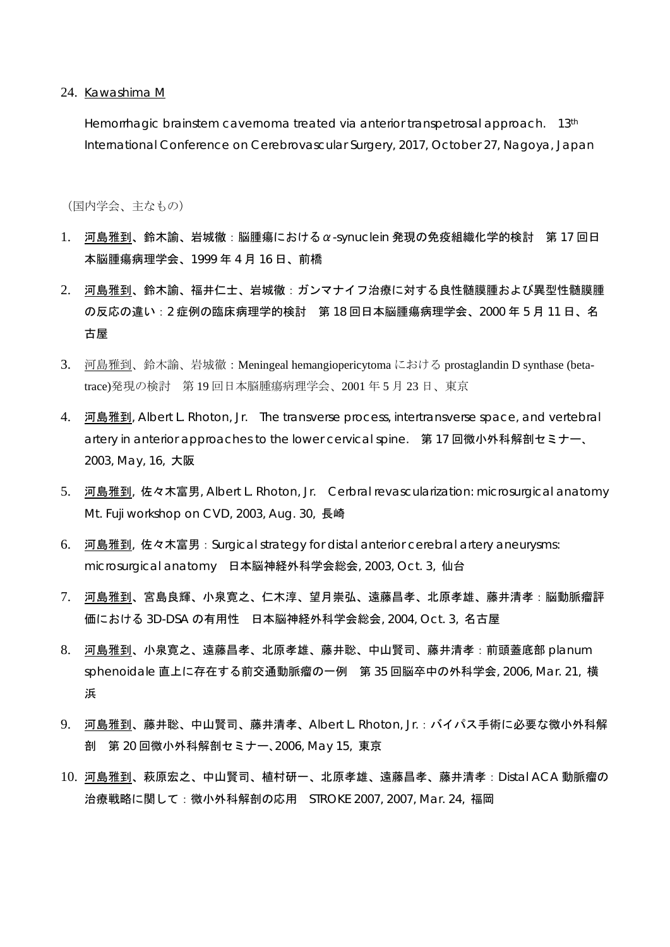24. Kawashima M

Hemorrhagic brainstem cavernoma treated via anterior transpetrosal approach. 13<sup>th</sup> International Conference on Cerebrovascular Surgery, 2017, October 27, Nagoya, Japan

(国内学会、主なもの)

- 1. 河島雅到、鈴木諭、岩城徹:脳腫瘍におけるα-synuclein 発現の免疫組織化学的検討 第 17 回日 本脳腫瘍病理学会、1999 年 4 月 16 日、前橋
- 2. 河島雅到、鈴木諭、福井仁士、岩城徹:ガンマナイフ治療に対する良性髄膜腫および異型性髄膜腫 の反応の違い:2 症例の臨床病理学的検討 第 18 回日本脳腫瘍病理学会、2000 年 5 月 11 日、名 古屋
- 3. 河島雅到、鈴木諭、岩城徹:Meningeal hemangiopericytoma における prostaglandin D synthase (betatrace)発現の検討 第 19 回日本脳腫瘍病理学会、2001 年 5 月 23 日、東京
- 4. 河島雅到, Albert L. Rhoton, Jr. The transverse process, intertransverse space, and vertebral artery in anterior approaches to the lower cervical spine. 第 17 回微小外科解剖セミナー、 2003, May, 16, 大阪
- 5. 河島雅到, 佐々木富男, Albert L. Rhoton, Jr. Cerbral revascularization: microsurgical anatomy Mt. Fuji workshop on CVD, 2003, Aug. 30, 長崎
- 6. 河島雅到, 佐々木富男: Surgical strategy for distal anterior cerebral artery aneurysms: microsurgical anatomy 日本脳神経外科学会総会, 2003, Oct. 3, 仙台
- 7. 河島雅到、宮島良輝、小泉寛之、仁木淳、望月崇弘、遠藤昌孝、北原孝雄、藤井清孝:脳動脈瘤評 価における 3D-DSA の有用性 日本脳神経外科学会総会, 2004, Oct. 3, 名古屋
- 8. 河島雅到、小泉寛之、遠藤昌孝、北原孝雄、藤井聡、中山賢司、藤井清孝:前頭蓋底部 planum sphenoidale 直上に存在する前交通動脈瘤の一例 第 35 回脳卒中の外科学会, 2006, Mar. 21, 横 浜
- 9. 河島雅到、藤井聡、中山賢司、藤井清孝、Albert L. Rhoton, Jr.:バイパス手術に必要な微小外科解 剖 第 20 回微小外科解剖セミナー、2006, May 15, 東京
- 10. 河島雅到、萩原宏之、中山賢司、植村研一、北原孝雄、遠藤昌孝、藤井清孝:Distal ACA 動脈瘤の 治療戦略に関して:微小外科解剖の応用 STROKE 2007, 2007, Mar. 24, 福岡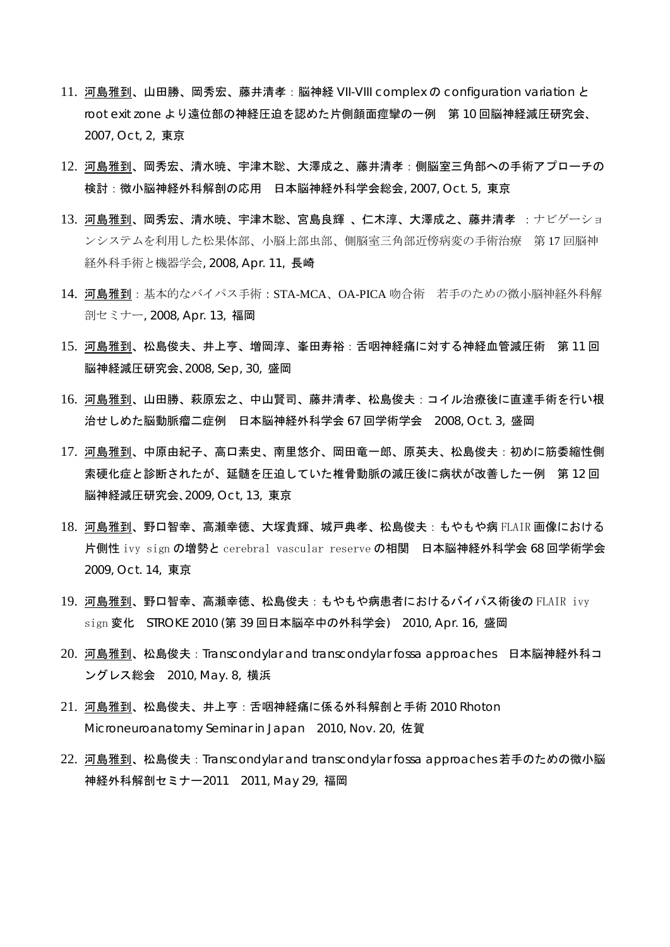- 11. 河島雅到、山田勝、岡秀宏、藤井清孝:脳神経 VII-VIII complex の configuration variation と root exit zone より遠位部の神経圧迫を認めた片側顔面痙攣の一例 第 10 回脳神経減圧研究会、 2007, Oct, 2, 東京
- 12. 河島雅到、岡秀宏、清水暁、宇津木聡、大澤成之、藤井清孝:側脳室三角部への手術アプローチの 検討:微小脳神経外科解剖の応用 日本脳神経外科学会総会, 2007, Oct. 5, 東京
- 13. 河島雅到、岡秀宏、清水暁、宇津木聡、宮島良輝 、仁木淳、大澤成之、藤井清孝 :ナビゲーショ ンシステムを利用した松果体部、小脳上部虫部、側脳室三角部近傍病変の手術治療 第 17 回脳神 経外科手術と機器学会, 2008, Apr. 11, 長崎
- 14. 河島雅到:基本的なバイパス手術:STA-MCA、OA-PICA 吻合術 若手のための微小脳神経外科解 剖セミナー, 2008, Apr. 13, 福岡
- 15. 河島雅到、松島俊夫、井上亨、増岡淳、峯田寿裕:舌咽神経痛に対する神経血管減圧術 第 11 回 脳神経減圧研究会、2008, Sep, 30, 盛岡
- 16. 河島雅到、山田勝、萩原宏之、中山賢司、藤井清孝、松島俊夫:コイル治療後に直達手術を行い根 治せしめた脳動脈瘤二症例 日本脳神経外科学会 67 回学術学会 2008, Oct. 3, 盛岡
- 17. 河島雅到、中原由紀子、高口素史、南里悠介、岡田竜一郎、原英夫、松島俊夫:初めに筋委縮性側 索硬化症と診断されたが、延髄を圧迫していた椎骨動脈の減圧後に病状が改善した一例 第 12 回 脳神経減圧研究会、2009, Oct, 13, 東京
- 18. 河島雅到、野口智幸、高瀬幸徳、大塚貴輝、城戸典孝、松島俊夫:もやもや病 FLAIR 画像における 片側性 ivy sign の増勢と cerebral vascular reserve の相関 日本脳神経外科学会 68 回学術学会 2009, Oct. 14, 東京
- 19. 河島雅到、野口智幸、高瀬幸徳、松島俊夫:もやもや病患者におけるバイパス術後の FLAIR ivy sign 変化 STROKE 2010 (第 39 回日本脳卒中の外科学会) 2010, Apr. 16, 盛岡
- 20. 河島雅到、松島俊夫: Transcondylar and transcondylar fossa approaches 日本脳神経外科コ ングレス総会 2010, May. 8, 横浜
- 21. 河島雅到、松島俊夫、井上亨:舌咽神経痛に係る外科解剖と手術 2010 Rhoton Microneuroanatomy Seminar in Japan 2010, Nov. 20, 佐賀
- 22. 河島雅到、松島俊夫:Transcondylar and transcondylar fossa approaches 若手のための微小脳 神経外科解剖セミナー2011 2011, May 29, 福岡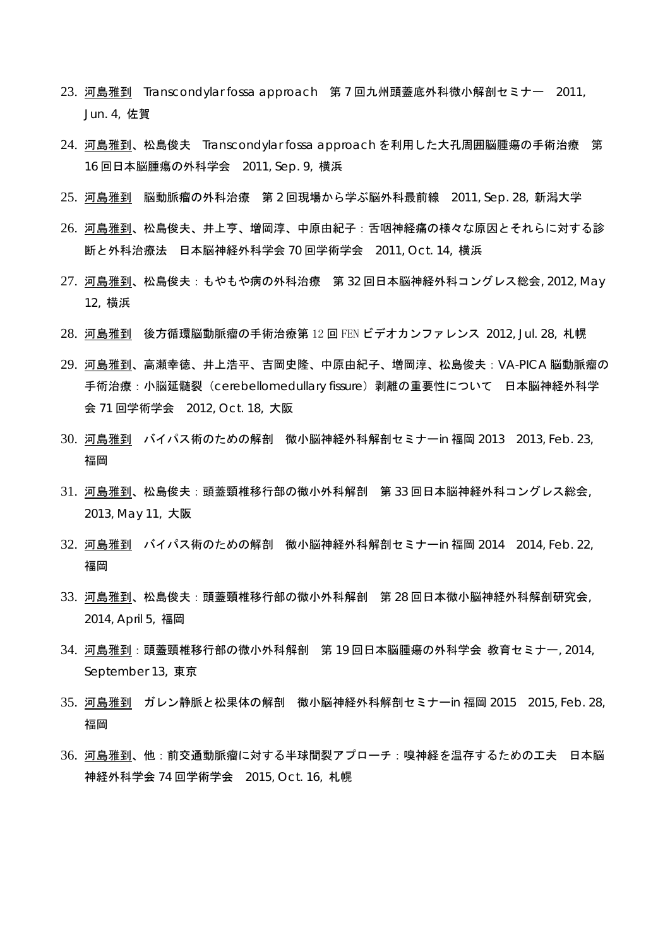- 23. 河島雅到 Transcondylar fossa approach 第 7 回九州頭蓋底外科微小解剖セミナー 2011, Jun. 4, 佐賀
- 24. 河島雅到、松島俊夫 Transcondylar fossa approach を利用した大孔周囲脳腫瘍の手術治療 第 16 回日本脳腫瘍の外科学会 2011, Sep. 9, 横浜
- 25. 河島雅到 脳動脈瘤の外科治療 第 2 回現場から学ぶ脳外科最前線 2011, Sep. 28, 新潟大学
- 26. 河島雅到、松島俊夫、井上亨、増岡淳、中原由紀子:舌咽神経痛の様々な原因とそれらに対する診 断と外科治療法 日本脳神経外科学会 70 回学術学会 2011, Oct. 14, 横浜
- 27. 河島雅到、松島俊夫:もやもや病の外科治療 第 32 回日本脳神経外科コングレス総会, 2012, May 12, 横浜
- 28. 河島雅到 後方循環脳動脈瘤の手術治療第 12 回 FEN ビデオカンファレンス 2012, Jul. 28, 札幌
- 29. 河島雅到、高瀬幸徳、井上浩平、吉岡史隆、中原由紀子、増岡淳、松島俊夫:VA-PICA 脳動脈瘤の 手術治療: 小脳延髄裂 (cerebellomedullary fissure) 剥離の重要性について 日本脳神経外科学 会 71 回学術学会 2012, Oct. 18, 大阪
- 30. 河島雅到 バイパス術のための解剖 微小脳神経外科解剖セミナーin 福岡 2013 2013, Feb. 23, 福岡
- 31. 河島雅到、松島俊夫:頭蓋頸椎移行部の微小外科解剖 第 33 回日本脳神経外科コングレス総会, 2013, May 11, 大阪
- 32. 河島雅到 バイパス術のための解剖 微小脳神経外科解剖セミナーin 福岡 2014 2014, Feb. 22, 福岡
- 33. 河島雅到、松島俊夫:頭蓋頸椎移行部の微小外科解剖 第 28 回日本微小脳神経外科解剖研究会, 2014, April 5, 福岡
- 34. 河島雅到:頭蓋頸椎移行部の微小外科解剖 第 19 回日本脳腫瘍の外科学会 教育セミナー, 2014, September 13, 東京
- 35. 河島雅到 ガレン静脈と松果体の解剖 微小脳神経外科解剖セミナーin 福岡 2015 2015, Feb. 28, 福岡
- 36. 河島雅到、他:前交通動脈瘤に対する半球間裂アプローチ:嗅神経を温存するための工夫 日本脳 神経外科学会 74 回学術学会 2015, Oct. 16, 札幌